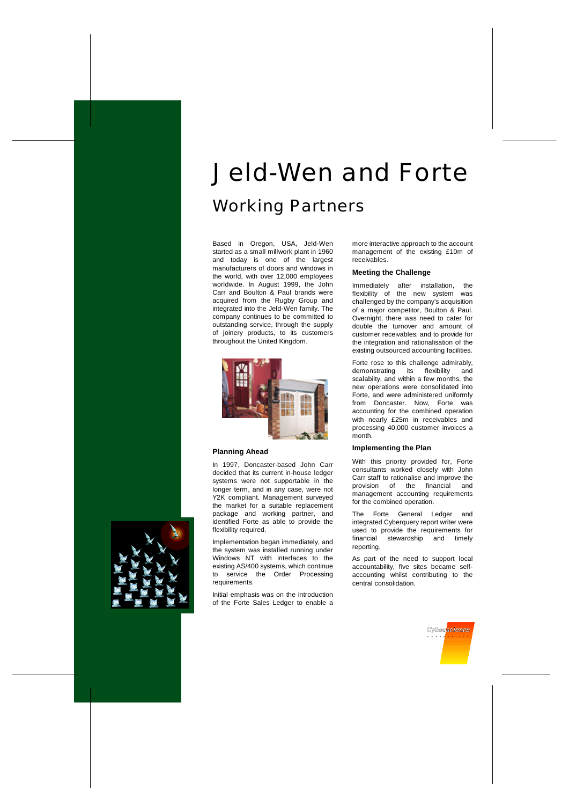# *Jeld-Wen and Forte Working Partners*

Based in Oregon, USA, Jeld-Wen started as a small millwork plant in 1960 and today is one of the largest manufacturers of doors and windows in the world, with over 12,000 employees worldwide. In August 1999, the John Carr and Boulton & Paul brands were acquired from the Rugby Group and integrated into the Jeld-Wen family. The company continues to be committed to outstanding service, through the supply of joinery products, to its customers throughout the United Kingdom.



# **Planning Ahead**

In 1997, Doncaster-based John Carr decided that its current in-house ledger systems were not supportable in the longer term, and in any case, were not Y2K compliant. Management surveyed the market for a suitable replacement package and working partner, and identified Forte as able to provide the flexibility required.

Implementation began immediately, and the system was installed running under Windows NT with interfaces to the existing AS/400 systems, which continue to service the Order Processing requirements.

Initial emphasis was on the introduction of the Forte Sales Ledger to enable a

more interactive approach to the account management of the existing £10m of receivables.

## **Meeting the Challenge**

Immediately after installation, the flexibility of the new system was challenged by the company's acquisition of a major competitor, Boulton & Paul. Overnight, there was need to cater for double the turnover and amount of customer receivables, and to provide for the integration and rationalisation of the existing outsourced accounting facilities.

Forte rose to this challenge admirably, demonstrating its flexibility and scalabilty, and within a few months, the new operations were consolidated into Forte, and were administered uniformly from Doncaster. Now, Forte was accounting for the combined operation with nearly £25m in receivables and processing 40,000 customer invoices a month.

# **Implementing the Plan**

With this priority provided for, Forte consultants worked closely with John Carr staff to rationalise and improve the provision of the financial and management accounting requirements for the combined operation.

The Forte General Ledger and integrated Cyberquery report writer were used to provide the requirements for financial stewardship and timely reporting.

As part of the need to support local accountability, five sites became selfaccounting whilst contributing to the central consolidation.